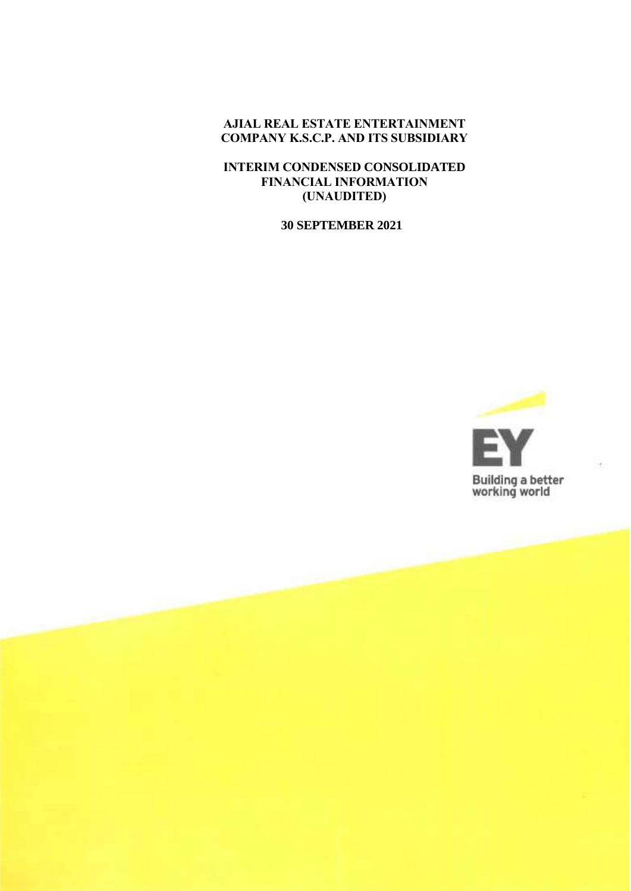**AJIAL REAL ESTATE ENTERTAINMENT COMPANY K.S.C.P. AND ITS SUBSIDIARY**

**INTERIM CONDENSED CONSOLIDATED FINANCIAL INFORMATION (UNAUDITED)**

**30 SEPTEMBER 2021**

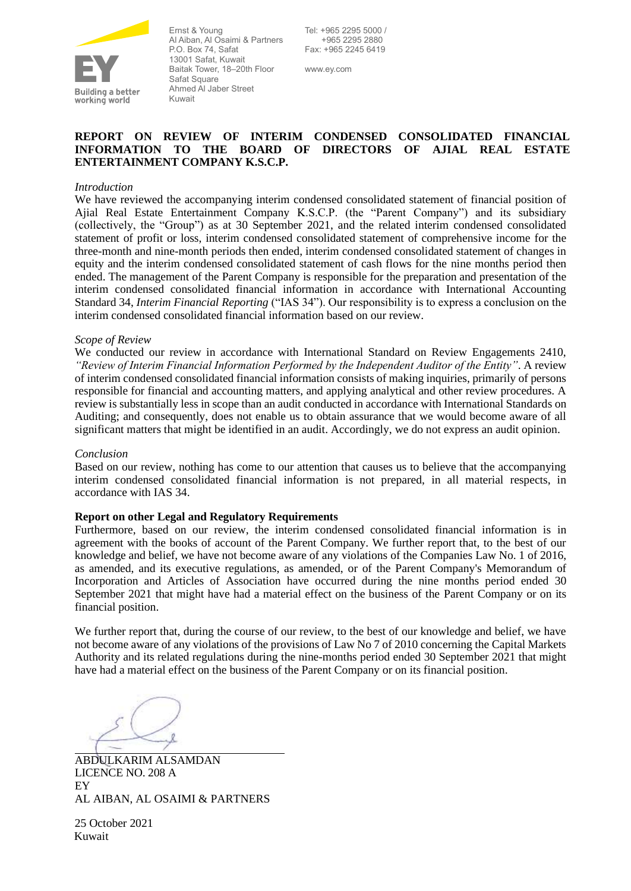

Ernst & Young Al Aiban, Al Osaimi & Partners P.O. Box 74, Safat 13001 Safat, Kuwait Baitak Tower, 18–20th Floor Safat Square Ahmed Al Jaber Street Kuwait

Tel: +965 2295 5000 / +965 2295 2880 Fax: +965 2245 6419

www.ey.com

### **REPORT ON REVIEW OF INTERIM CONDENSED CONSOLIDATED FINANCIAL INFORMATION TO THE BOARD OF DIRECTORS OF AJIAL REAL ESTATE ENTERTAINMENT COMPANY K.S.C.P.**

### *Introduction*

We have reviewed the accompanying interim condensed consolidated statement of financial position of Ajial Real Estate Entertainment Company K.S.C.P. (the "Parent Company") and its subsidiary (collectively, the "Group") as at 30 September 2021, and the related interim condensed consolidated statement of profit or loss, interim condensed consolidated statement of comprehensive income for the three-month and nine-month periods then ended, interim condensed consolidated statement of changes in equity and the interim condensed consolidated statement of cash flows for the nine months period then ended. The management of the Parent Company is responsible for the preparation and presentation of the interim condensed consolidated financial information in accordance with International Accounting Standard 34, *Interim Financial Reporting* ("IAS 34"). Our responsibility is to express a conclusion on the interim condensed consolidated financial information based on our review.

#### *Scope of Review*

We conducted our review in accordance with International Standard on Review Engagements 2410, *"Review of Interim Financial Information Performed by the Independent Auditor of the Entity"*. A review of interim condensed consolidated financial information consists of making inquiries, primarily of persons responsible for financial and accounting matters, and applying analytical and other review procedures. A review is substantially less in scope than an audit conducted in accordance with International Standards on Auditing; and consequently, does not enable us to obtain assurance that we would become aware of all significant matters that might be identified in an audit. Accordingly, we do not express an audit opinion.

#### *Conclusion*

Based on our review, nothing has come to our attention that causes us to believe that the accompanying interim condensed consolidated financial information is not prepared, in all material respects, in accordance with IAS 34.

#### **Report on other Legal and Regulatory Requirements**

Furthermore, based on our review, the interim condensed consolidated financial information is in agreement with the books of account of the Parent Company. We further report that, to the best of our knowledge and belief, we have not become aware of any violations of the Companies Law No. 1 of 2016, as amended, and its executive regulations, as amended, or of the Parent Company's Memorandum of Incorporation and Articles of Association have occurred during the nine months period ended 30 September 2021 that might have had a material effect on the business of the Parent Company or on its financial position.

We further report that, during the course of our review, to the best of our knowledge and belief, we have not become aware of any violations of the provisions of Law No 7 of 2010 concerning the Capital Markets Authority and its related regulations during the nine-months period ended 30 September 2021 that might have had a material effect on the business of the Parent Company or on its financial position.

ABDULKARIM ALSAMDAN LICENCE NO. 208 A EY AL AIBAN, AL OSAIMI & PARTNERS

25 October 2021 Kuwait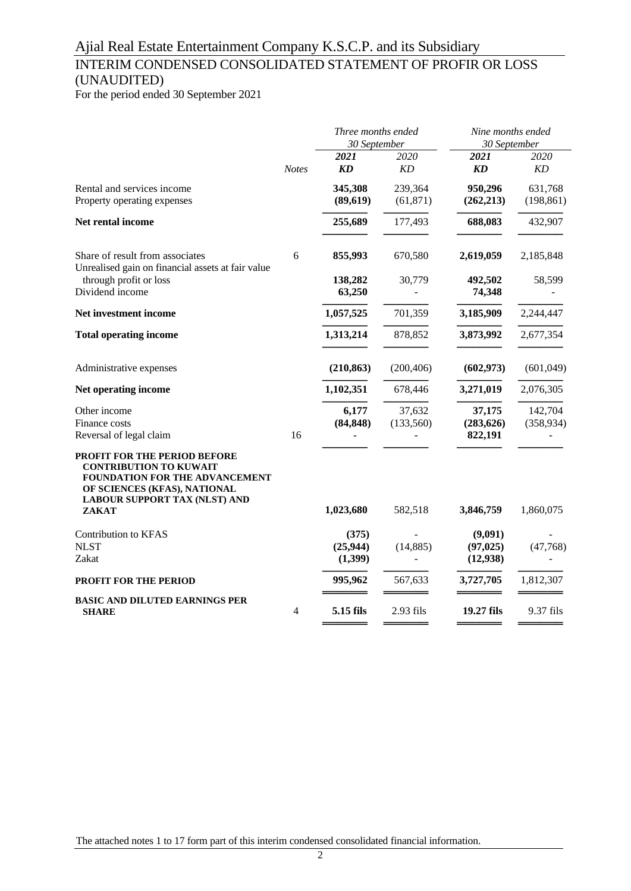### INTERIM CONDENSED CONSOLIDATED STATEMENT OF PROFIR OR LOSS (UNAUDITED)

For the period ended 30 September 2021

|                                                                                                                                                                                                |              | Three months ended<br>30 September |                      | Nine months ended<br>30 September |                       |
|------------------------------------------------------------------------------------------------------------------------------------------------------------------------------------------------|--------------|------------------------------------|----------------------|-----------------------------------|-----------------------|
|                                                                                                                                                                                                | <b>Notes</b> | 2021<br><b>KD</b>                  | 2020<br>KD           | 2021<br>KD                        | 2020<br>KD            |
| Rental and services income<br>Property operating expenses                                                                                                                                      |              | 345,308<br>(89, 619)               | 239,364<br>(61, 871) | 950,296<br>(262, 213)             | 631,768<br>(198, 861) |
| Net rental income                                                                                                                                                                              |              | 255,689                            | 177,493              | 688,083                           | 432,907               |
| Share of result from associates<br>Unrealised gain on financial assets at fair value                                                                                                           | 6            | 855,993                            | 670,580              | 2,619,059                         | 2,185,848             |
| through profit or loss<br>Dividend income                                                                                                                                                      |              | 138,282<br>63,250                  | 30,779               | 492,502<br>74,348                 | 58,599                |
| Net investment income                                                                                                                                                                          |              | 1,057,525                          | 701,359              | 3,185,909                         | 2,244,447             |
| <b>Total operating income</b>                                                                                                                                                                  |              | 1,313,214                          | 878,852              | 3,873,992                         | 2,677,354             |
| Administrative expenses                                                                                                                                                                        |              | (210, 863)                         | (200, 406)           | (602, 973)                        | (601, 049)            |
| Net operating income                                                                                                                                                                           |              | 1,102,351                          | 678,446              | 3,271,019                         | 2,076,305             |
| Other income<br>Finance costs<br>Reversal of legal claim                                                                                                                                       | 16           | 6,177<br>(84, 848)                 | 37,632<br>(133,560)  | 37,175<br>(283, 626)<br>822,191   | 142,704<br>(358, 934) |
| <b>PROFIT FOR THE PERIOD BEFORE</b><br><b>CONTRIBUTION TO KUWAIT</b><br>FOUNDATION FOR THE ADVANCEMENT<br>OF SCIENCES (KFAS), NATIONAL<br><b>LABOUR SUPPORT TAX (NLST) AND</b><br><b>ZAKAT</b> |              | 1,023,680                          | 582,518              | 3,846,759                         | 1,860,075             |
| Contribution to KFAS<br><b>NLST</b><br>Zakat                                                                                                                                                   |              | (375)<br>(25, 944)<br>(1,399)      | (14, 885)            | (9,091)<br>(97, 025)<br>(12, 938) | (47,768)              |
| PROFIT FOR THE PERIOD                                                                                                                                                                          |              | 995,962                            | 567,633              | 3,727,705                         | 1,812,307             |
| <b>BASIC AND DILUTED EARNINGS PER</b><br><b>SHARE</b>                                                                                                                                          | 4            | 5.15 fils                          | 2.93 fils            | 19.27 fils                        | 9.37 fils             |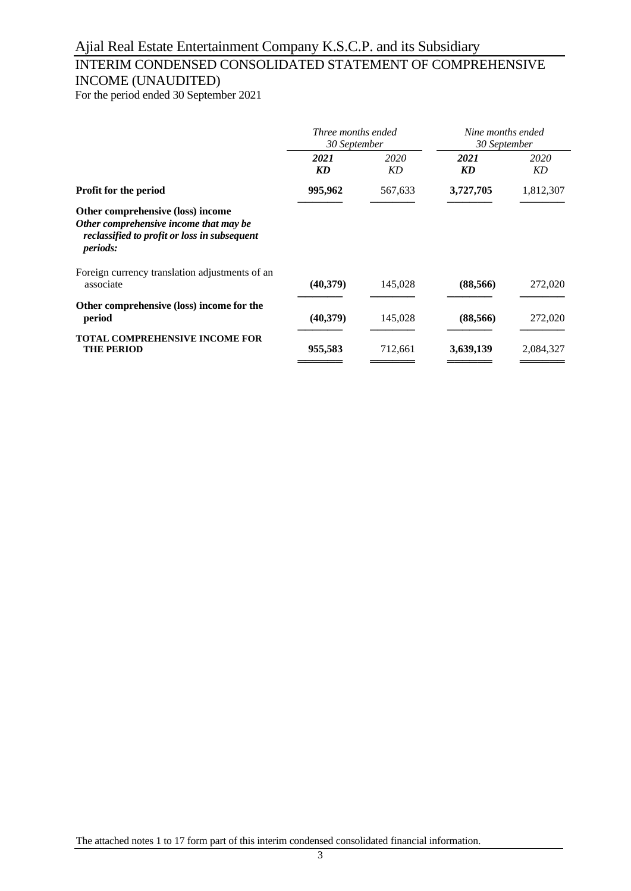## INTERIM CONDENSED CONSOLIDATED STATEMENT OF COMPREHENSIVE INCOME (UNAUDITED)

For the period ended 30 September 2021

|                                                                                                                                                | Three months ended<br>30 September |            | Nine months ended<br>30 September |            |
|------------------------------------------------------------------------------------------------------------------------------------------------|------------------------------------|------------|-----------------------------------|------------|
|                                                                                                                                                | 2021<br><b>KD</b>                  | 2020<br>KD | 2021<br>KD                        | 2020<br>KD |
| Profit for the period                                                                                                                          | 995,962                            | 567,633    | 3,727,705                         | 1,812,307  |
| Other comprehensive (loss) income<br>Other comprehensive income that may be<br>reclassified to profit or loss in subsequent<br><i>periods:</i> |                                    |            |                                   |            |
| Foreign currency translation adjustments of an<br>associate                                                                                    | (40,379)                           | 145,028    | (88, 566)                         | 272,020    |
| Other comprehensive (loss) income for the<br>period                                                                                            | (40,379)                           | 145,028    | (88, 566)                         | 272,020    |
| <b>TOTAL COMPREHENSIVE INCOME FOR</b><br><b>THE PERIOD</b>                                                                                     | 955,583                            | 712,661    | 3,639,139                         | 2,084,327  |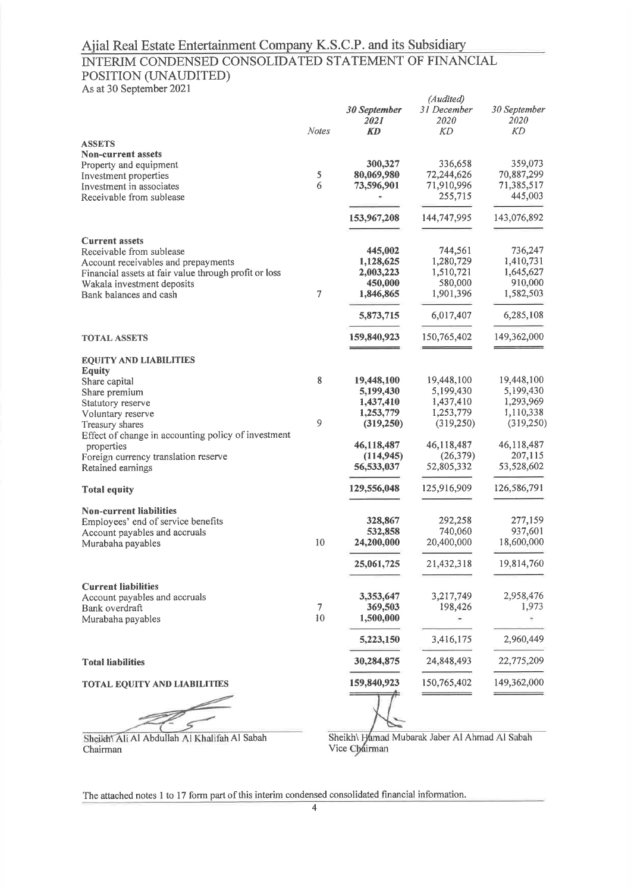## Ajial Real Estate Entertainment Company K.S.C.P. and its Subsidiary<br>INTERIM CONDENSED CONSOLIDATED STATEMENT OF FINANCIAL POSITION (UNAUDITED)

As at 30 September 2021

Chairman

| $\frac{1}{2}$ to at 50 Beptember 2027                     |                | 30 September<br>2021     | (Audited)<br>31 December<br><i>2020</i> | 30 September<br>2020  |
|-----------------------------------------------------------|----------------|--------------------------|-----------------------------------------|-----------------------|
|                                                           | <b>Notes</b>   | KD                       | KD                                      | КD                    |
| <b>ASSETS</b>                                             |                |                          |                                         |                       |
| Non-current assets                                        |                |                          |                                         |                       |
| Property and equipment                                    |                | 300,327                  | 336,658                                 | 359,073               |
| Investment properties                                     | $\sqrt{5}$     | 80,069,980               | 72,244,626                              | 70,887,299            |
| Investment in associates                                  | 6              | 73,596,901               | 71,910,996                              | 71,385,517            |
| Receivable from sublease                                  |                |                          | 255,715                                 | 445,003               |
|                                                           |                | 153,967,208              | 144,747,995                             | 143,076,892           |
| <b>Current assets</b>                                     |                |                          |                                         |                       |
| Receivable from sublease                                  |                | 445,002                  | 744,561                                 | 736,247               |
| Account receivables and prepayments                       |                | 1,128,625                | 1,280,729                               | 1,410,731             |
| Financial assets at fair value through profit or loss     |                | 2,003,223                | 1,510,721                               | 1,645,627             |
| Wakala investment deposits<br>Bank balances and cash      | $\overline{7}$ | 450,000<br>1,846,865     | 580,000<br>1,901,396                    | 910,000<br>1,582,503  |
|                                                           |                | 5,873,715                | 6,017,407                               | 6,285,108             |
| <b>TOTAL ASSETS</b>                                       |                | 159,840,923              | 150,765,402                             | 149,362,000           |
|                                                           |                |                          |                                         |                       |
| <b>EQUITY AND LIABILITIES</b><br><b>Equity</b>            |                |                          |                                         |                       |
| Share capital                                             | 8              | 19,448,100               | 19,448,100                              | 19,448,100            |
| Share premium                                             |                | 5,199,430                | 5,199,430                               | 5,199,430             |
| Statutory reserve                                         |                | 1,437,410                | 1,437,410                               | 1,293,969             |
| Voluntary reserve                                         |                | 1,253,779                | 1,253,779                               | 1,110,338             |
| Treasury shares                                           | 9              | (319,250)                | (319,250)                               | (319,250)             |
| Effect of change in accounting policy of investment       |                |                          |                                         |                       |
| properties                                                |                | 46,118,487               | 46,118,487                              | 46,118,487            |
| Foreign currency translation reserve<br>Retained earnings |                | (114, 945)<br>56,533,037 | (26, 379)<br>52,805,332                 | 207,115<br>53,528,602 |
| <b>Total equity</b>                                       |                | 129,556,048              | 125,916,909                             | 126,586,791           |
| <b>Non-current liabilities</b>                            |                |                          |                                         |                       |
| Employees' end of service benefits                        |                | 328,867                  | 292,258                                 | 277,159               |
|                                                           |                | 532,858                  | 740,060                                 | 937,601               |
| Account payables and accruals<br>Murabaha payables        | 10             | 24,200,000               | 20,400,000                              | 18,600,000            |
|                                                           |                |                          |                                         |                       |
|                                                           |                | 25,061,725               | 21,432,318                              | 19,814,760            |
| <b>Current liabilities</b>                                |                |                          |                                         |                       |
| Account payables and accruals                             |                | 3,353,647                | 3,217,749                               | 2,958,476             |
| Bank overdraft                                            | $\tau$         | 369,503                  | 198,426                                 | 1,973                 |
| Murabaha payables                                         | 10             | 1,500,000                |                                         |                       |
|                                                           |                | 5,223,150                | 3,416,175                               | 2,960,449             |
| <b>Total liabilities</b>                                  |                | 30,284,875               | 24,848,493                              | 22,775,209            |
| <b>TOTAL EQUITY AND LIABILITIES</b>                       |                | 159,840,923              | 150,765,402                             | 149,362,000           |
|                                                           |                |                          |                                         |                       |
|                                                           |                |                          |                                         |                       |

Sheikh\ Hamad Mubarak Jaber Al Ahmad Al Sabah<br>Vice Chairman Sheikh Ali Al Abdullah Al Khalifah Al Sabah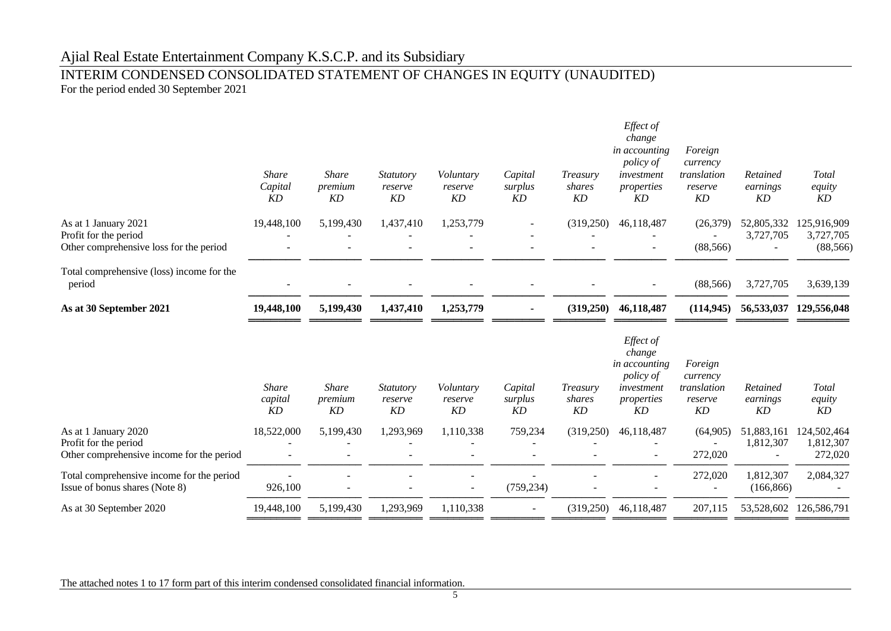### INTERIM CONDENSED CONSOLIDATED STATEMENT OF CHANGES IN EQUITY (UNAUDITED) For the period ended 30 September 2021

|                                                                                            | <i>Share</i><br>Capital<br>KD | <b>Share</b><br>premium<br>KD | <b>Statutory</b><br>reserve<br>KD | Voluntary<br>reserve<br>KD | Capital<br>surplus<br>KD | Treasury<br>shares<br>KD | Effect of<br>change<br>in accounting<br><i>policy of</i><br>investment<br>properties<br>KD | Foreign<br>currency<br>translation<br>reserve<br>KD | Retained<br>earnings<br>KD | <b>Total</b><br>equity<br>KD          |
|--------------------------------------------------------------------------------------------|-------------------------------|-------------------------------|-----------------------------------|----------------------------|--------------------------|--------------------------|--------------------------------------------------------------------------------------------|-----------------------------------------------------|----------------------------|---------------------------------------|
| As at 1 January 2021<br>Profit for the period<br>Other comprehensive loss for the period   | 19,448,100                    | 5,199,430                     | 1,437,410                         | 1,253,779                  |                          | (319,250)                | 46,118,487                                                                                 | (26,379)<br>(88, 566)                               | 52,805,332<br>3,727,705    | 125,916,909<br>3,727,705<br>(88, 566) |
| Total comprehensive (loss) income for the<br>period                                        |                               |                               |                                   |                            |                          |                          |                                                                                            | (88, 566)                                           | 3,727,705                  | 3,639,139                             |
| As at 30 September 2021                                                                    | 19,448,100                    | 5,199,430                     | 1,437,410                         | 1,253,779                  |                          | (319,250)                | 46,118,487                                                                                 | (114, 945)                                          |                            | 56,533,037 129,556,048                |
|                                                                                            | <b>Share</b><br>capital<br>KD | <b>Share</b><br>premium<br>KD | Statutory<br>reserve<br>KD        | Voluntary<br>reserve<br>KD | Capital<br>surplus<br>KD | Treasury<br>shares<br>KD | Effect of<br>change<br>in accounting<br>policy of<br>investment<br>properties<br>KD        | Foreign<br>currency<br>translation<br>reserve<br>KD | Retained<br>earnings<br>KD | Total<br>equity<br>KD                 |
| As at 1 January 2020<br>Profit for the period<br>Other comprehensive income for the period | 18,522,000                    | 5,199,430                     | 1,293,969                         | 1,110,338                  | 759,234                  | (319,250)                | 46,118,487                                                                                 | (64,905)<br>272,020                                 | 51,883,161<br>1,812,307    | 124,502,464<br>1,812,307<br>272,020   |
| Total comprehensive income for the period<br>Issue of bonus shares (Note 8)                | 926,100                       |                               |                                   |                            | (759, 234)               |                          |                                                                                            | 272,020<br>$\overline{\phantom{a}}$                 | 1,812,307<br>(166, 866)    | 2,084,327                             |
| As at 30 September 2020                                                                    | 19,448,100                    | 5,199,430                     | 1,293,969                         | 1,110,338                  |                          | (319,250)                | 46,118,487                                                                                 | 207,115                                             | 53,528,602                 | 126,586,791                           |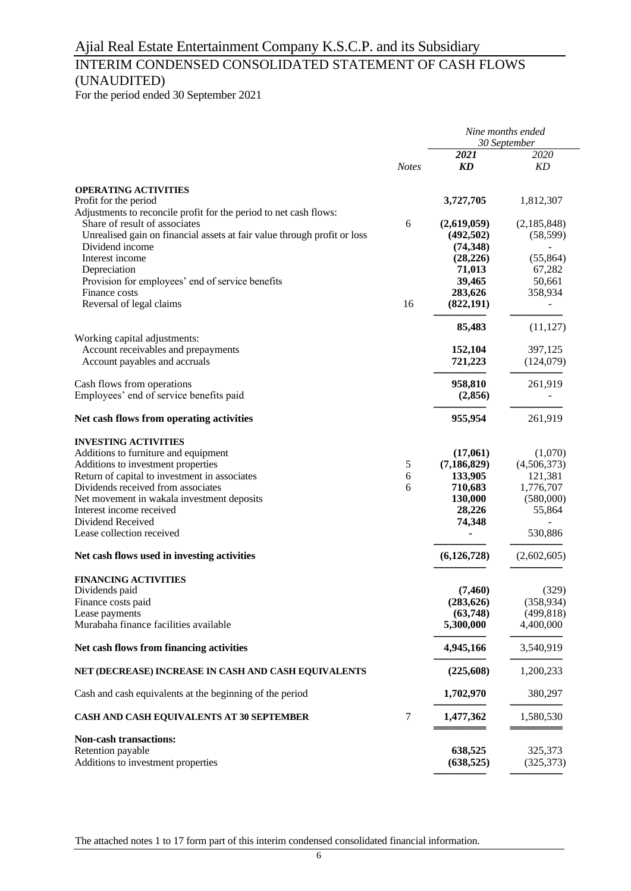### INTERIM CONDENSED CONSOLIDATED STATEMENT OF CASH FLOWS (UNAUDITED)

For the period ended 30 September 2021

|                                                                                                                                                                                                   | <b>Notes</b> | Nine months ended<br>30 September     |                          |  |
|---------------------------------------------------------------------------------------------------------------------------------------------------------------------------------------------------|--------------|---------------------------------------|--------------------------|--|
|                                                                                                                                                                                                   |              | 2021<br>KD                            | 2020<br>KD               |  |
| <b>OPERATING ACTIVITIES</b><br>Profit for the period                                                                                                                                              |              | 3,727,705                             | 1,812,307                |  |
| Adjustments to reconcile profit for the period to net cash flows:<br>Share of result of associates<br>Unrealised gain on financial assets at fair value through profit or loss<br>Dividend income | 6            | (2,619,059)<br>(492,502)<br>(74, 348) | (2,185,848)<br>(58, 599) |  |
| Interest income<br>Depreciation                                                                                                                                                                   |              | (28, 226)<br>71,013                   | (55, 864)<br>67,282      |  |
| Provision for employees' end of service benefits<br>Finance costs                                                                                                                                 |              | 39,465<br>283,626                     | 50,661<br>358,934        |  |
| Reversal of legal claims                                                                                                                                                                          | 16           | (822, 191)<br>85,483                  | (11, 127)                |  |
| Working capital adjustments:                                                                                                                                                                      |              |                                       |                          |  |
| Account receivables and prepayments<br>Account payables and accruals                                                                                                                              |              | 152,104<br>721,223                    | 397,125<br>(124,079)     |  |
| Cash flows from operations<br>Employees' end of service benefits paid                                                                                                                             |              | 958,810<br>(2,856)                    | 261,919                  |  |
| Net cash flows from operating activities                                                                                                                                                          |              | 955,954                               | 261,919                  |  |
| <b>INVESTING ACTIVITIES</b><br>Additions to furniture and equipment                                                                                                                               |              | (17,061)                              | (1,070)                  |  |
| Additions to investment properties                                                                                                                                                                | 5            | (7, 186, 829)                         | (4,506,373)              |  |
| Return of capital to investment in associates                                                                                                                                                     | 6            | 133,905                               | 121,381                  |  |
| Dividends received from associates                                                                                                                                                                | 6            | 710,683                               | 1,776,707                |  |
| Net movement in wakala investment deposits                                                                                                                                                        |              | 130,000                               | (580,000)                |  |
| Interest income received                                                                                                                                                                          |              | 28,226                                | 55,864                   |  |
| Dividend Received                                                                                                                                                                                 |              | 74,348                                |                          |  |
| Lease collection received                                                                                                                                                                         |              |                                       | 530,886                  |  |
| Net cash flows used in investing activities                                                                                                                                                       |              | (6,126,728)                           | (2,602,605)              |  |
| <b>FINANCING ACTIVITIES</b><br>Dividends paid                                                                                                                                                     |              | (7, 460)                              | (329)                    |  |
| Finance costs paid                                                                                                                                                                                |              | (283, 626)                            | (358, 934)               |  |
| Lease payments                                                                                                                                                                                    |              | (63,748)                              | (499, 818)               |  |
| Murabaha finance facilities available                                                                                                                                                             |              | 5,300,000                             | 4,400,000                |  |
| Net cash flows from financing activities                                                                                                                                                          |              | 4,945,166                             | 3,540,919                |  |
| NET (DECREASE) INCREASE IN CASH AND CASH EQUIVALENTS                                                                                                                                              |              | (225,608)                             | 1,200,233                |  |
| Cash and cash equivalents at the beginning of the period                                                                                                                                          |              | 1,702,970                             | 380,297                  |  |
| CASH AND CASH EQUIVALENTS AT 30 SEPTEMBER                                                                                                                                                         | 7            | 1,477,362                             | 1,580,530                |  |
| <b>Non-cash transactions:</b><br>Retention payable                                                                                                                                                |              | 638,525                               | 325,373                  |  |
| Additions to investment properties                                                                                                                                                                |              | (638, 525)                            | (325, 373)               |  |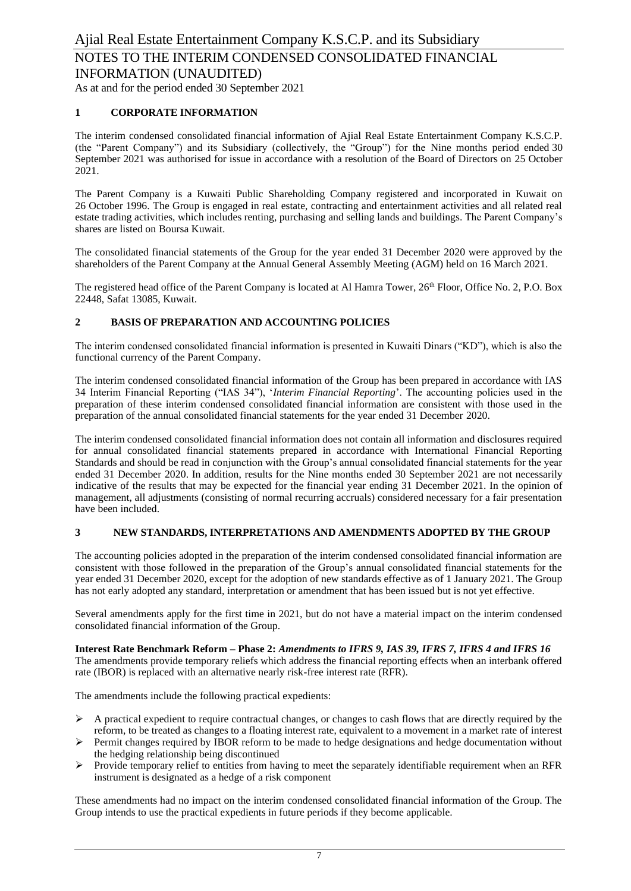As at and for the period ended 30 September 2021

### **1 CORPORATE INFORMATION**

The interim condensed consolidated financial information of Ajial Real Estate Entertainment Company K.S.C.P. (the "Parent Company") and its Subsidiary (collectively, the "Group") for the Nine months period ended 30 September 2021 was authorised for issue in accordance with a resolution of the Board of Directors on 25 October 2021.

The Parent Company is a Kuwaiti Public Shareholding Company registered and incorporated in Kuwait on 26 October 1996. The Group is engaged in real estate, contracting and entertainment activities and all related real estate trading activities, which includes renting, purchasing and selling lands and buildings. The Parent Company's shares are listed on Boursa Kuwait.

The consolidated financial statements of the Group for the year ended 31 December 2020 were approved by the shareholders of the Parent Company at the Annual General Assembly Meeting (AGM) held on 16 March 2021.

The registered head office of the Parent Company is located at Al Hamra Tower, 26<sup>th</sup> Floor, Office No. 2, P.O. Box 22448, Safat 13085, Kuwait.

### **2 BASIS OF PREPARATION AND ACCOUNTING POLICIES**

The interim condensed consolidated financial information is presented in Kuwaiti Dinars ("KD"), which is also the functional currency of the Parent Company.

The interim condensed consolidated financial information of the Group has been prepared in accordance with IAS 34 Interim Financial Reporting ("IAS 34"), '*Interim Financial Reporting*'. The accounting policies used in the preparation of these interim condensed consolidated financial information are consistent with those used in the preparation of the annual consolidated financial statements for the year ended 31 December 2020.

The interim condensed consolidated financial information does not contain all information and disclosures required for annual consolidated financial statements prepared in accordance with International Financial Reporting Standards and should be read in conjunction with the Group's annual consolidated financial statements for the year ended 31 December 2020. In addition, results for the Nine months ended 30 September 2021 are not necessarily indicative of the results that may be expected for the financial year ending 31 December 2021. In the opinion of management, all adjustments (consisting of normal recurring accruals) considered necessary for a fair presentation have been included.

### **3 NEW STANDARDS, INTERPRETATIONS AND AMENDMENTS ADOPTED BY THE GROUP**

The accounting policies adopted in the preparation of the interim condensed consolidated financial information are consistent with those followed in the preparation of the Group's annual consolidated financial statements for the year ended 31 December 2020, except for the adoption of new standards effective as of 1 January 2021. The Group has not early adopted any standard, interpretation or amendment that has been issued but is not yet effective.

Several amendments apply for the first time in 2021, but do not have a material impact on the interim condensed consolidated financial information of the Group.

**Interest Rate Benchmark Reform – Phase 2:** *Amendments to IFRS 9, IAS 39, IFRS 7, IFRS 4 and IFRS 16*

The amendments provide temporary reliefs which address the financial reporting effects when an interbank offered rate (IBOR) is replaced with an alternative nearly risk-free interest rate (RFR).

The amendments include the following practical expedients:

- $\triangleright$  A practical expedient to require contractual changes, or changes to cash flows that are directly required by the reform, to be treated as changes to a floating interest rate, equivalent to a movement in a market rate of interest
- ➢ Permit changes required by IBOR reform to be made to hedge designations and hedge documentation without the hedging relationship being discontinued
- ➢ Provide temporary relief to entities from having to meet the separately identifiable requirement when an RFR instrument is designated as a hedge of a risk component

These amendments had no impact on the interim condensed consolidated financial information of the Group. The Group intends to use the practical expedients in future periods if they become applicable.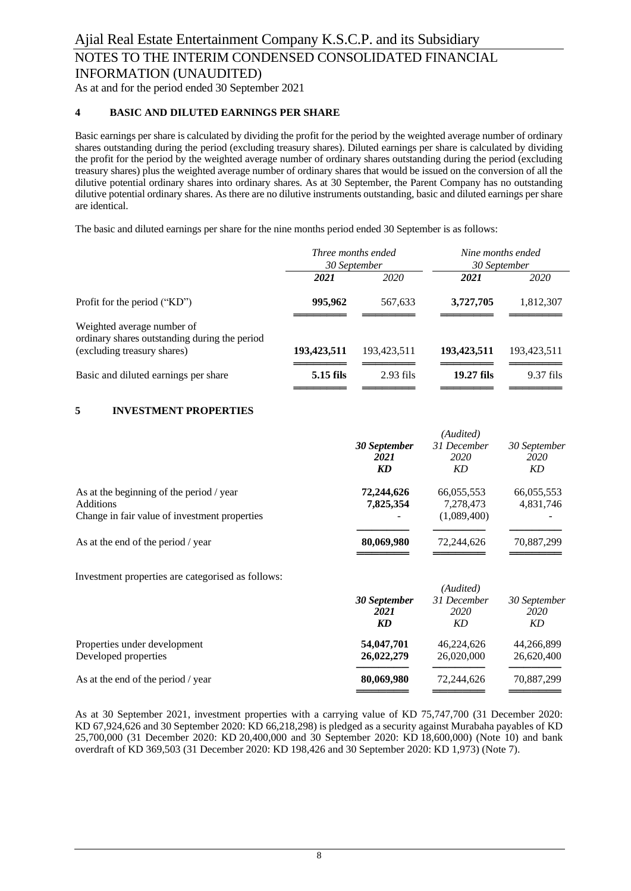As at and for the period ended 30 September 2021

### **4 BASIC AND DILUTED EARNINGS PER SHARE**

Basic earnings per share is calculated by dividing the profit for the period by the weighted average number of ordinary shares outstanding during the period (excluding treasury shares). Diluted earnings per share is calculated by dividing the profit for the period by the weighted average number of ordinary shares outstanding during the period (excluding treasury shares) plus the weighted average number of ordinary shares that would be issued on the conversion of all the dilutive potential ordinary shares into ordinary shares. As at 30 September, the Parent Company has no outstanding dilutive potential ordinary shares. As there are no dilutive instruments outstanding, basic and diluted earnings per share are identical.

The basic and diluted earnings per share for the nine months period ended 30 September is as follows:

|                                                                             | Three months ended<br>30 September |             | Nine months ended<br>30 September |             |
|-----------------------------------------------------------------------------|------------------------------------|-------------|-----------------------------------|-------------|
|                                                                             | 2021                               | <i>2020</i> | 2021                              | 2020        |
| Profit for the period ("KD")                                                | 995,962                            | 567,633     | 3,727,705                         | 1,812,307   |
| Weighted average number of<br>ordinary shares outstanding during the period |                                    |             |                                   |             |
| (excluding treasury shares)                                                 | 193,423,511                        | 193,423,511 | 193,423,511                       | 193,423,511 |
| Basic and diluted earnings per share                                        | $5.15$ fils                        | $2.93$ fils | 19.27 fils                        | $9.37$ fils |
|                                                                             |                                    |             |                                   |             |

### **5 INVESTMENT PROPERTIES**

|                                                                                                               | 30 September<br>2021<br>KD | (Audited)<br>31 December<br>2020<br>KD | 30 September<br>2020<br>KD |
|---------------------------------------------------------------------------------------------------------------|----------------------------|----------------------------------------|----------------------------|
| As at the beginning of the period / year<br><b>Additions</b><br>Change in fair value of investment properties | 72,244,626<br>7,825,354    | 66,055,553<br>7,278,473<br>(1,089,400) | 66,055,553<br>4,831,746    |
| As at the end of the period / year                                                                            | 80,069,980                 | 72,244,626                             | 70,887,299                 |

Investment properties are categorised as follows:

|                                    |              | (Audited)   |              |
|------------------------------------|--------------|-------------|--------------|
|                                    | 30 September | 31 December | 30 September |
|                                    | 2021         | 2020        | 2020         |
|                                    | KD           | KD          | KD           |
| Properties under development       | 54,047,701   | 46,224,626  | 44,266,899   |
| Developed properties               | 26,022,279   | 26,020,000  | 26,620,400   |
| As at the end of the period / year | 80,069,980   | 72,244,626  | 70,887,299   |

As at 30 September 2021, investment properties with a carrying value of KD 75,747,700 (31 December 2020: KD 67,924,626 and 30 September 2020: KD 66,218,298) is pledged as a security against Murabaha payables of KD 25,700,000 (31 December 2020: KD 20,400,000 and 30 September 2020: KD 18,600,000) (Note 10) and bank overdraft of KD 369,503 (31 December 2020: KD 198,426 and 30 September 2020: KD 1,973) (Note 7).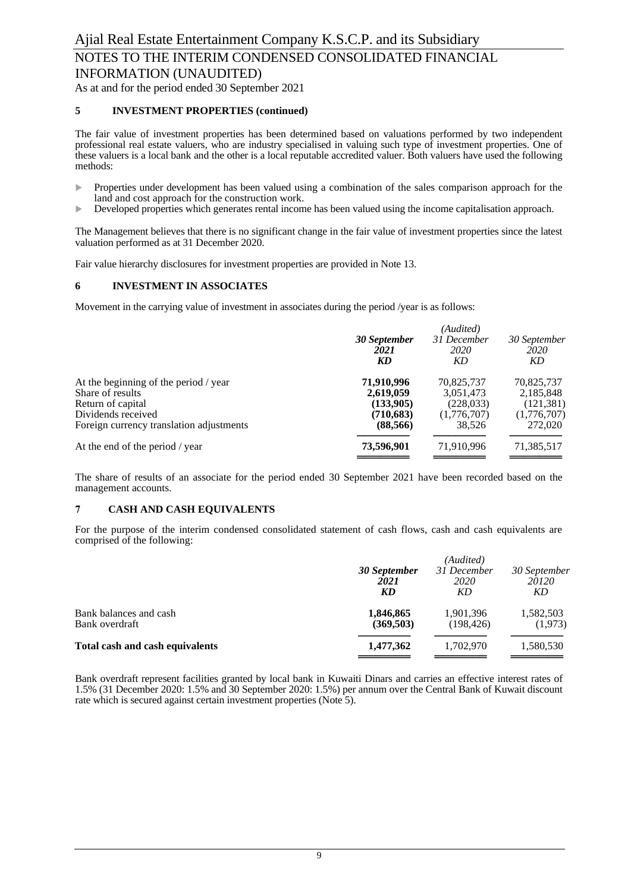As at and for the period ended 30 September 2021

### **5 INVESTMENT PROPERTIES (continued)**

The fair value of investment properties has been determined based on valuations performed by two independent professional real estate valuers, who are industry specialised in valuing such type of investment properties. One of these valuers is a local bank and the other is a local reputable accredited valuer. Both valuers have used the following methods:

- **Properties under development has been valued using a combination of the sales comparison approach for the** land and cost approach for the construction work.
- Developed properties which generates rental income has been valued using the income capitalisation approach.

The Management believes that there is no significant change in the fair value of investment properties since the latest valuation performed as at 31 December 2020.

Fair value hierarchy disclosures for investment properties are provided in Note 13.

#### **6 INVESTMENT IN ASSOCIATES**

Movement in the carrying value of investment in associates during the period /year is as follows:

|                                          | 30 September<br>2021<br>KD | (Audited)<br>31 December<br>2020<br>KD | 30 September<br>2020<br>KD |
|------------------------------------------|----------------------------|----------------------------------------|----------------------------|
| At the beginning of the period / year    | 71,910,996                 | 70,825,737                             | 70,825,737                 |
| Share of results                         | 2,619,059                  | 3,051,473                              | 2,185,848                  |
| Return of capital                        | (133,905)                  | (228, 033)                             | (121, 381)                 |
| Dividends received                       | (710,683)                  | (1,776,707)                            | (1,776,707)                |
| Foreign currency translation adjustments | (88, 566)                  | 38.526                                 | 272,020                    |
| At the end of the period / year          | 73,596,901                 | 71,910,996                             | 71,385,517                 |
|                                          |                            |                                        |                            |

The share of results of an associate for the period ended 30 September 2021 have been recorded based on the management accounts.

#### **7 CASH AND CASH EQUIVALENTS**

For the purpose of the interim condensed consolidated statement of cash flows, cash and cash equivalents are comprised of the following:

|                                          | 30 September<br>2021<br>KD | (Audited)<br>31 December<br>2020<br>KD | 30 September<br>20120<br>KD |
|------------------------------------------|----------------------------|----------------------------------------|-----------------------------|
| Bank balances and cash<br>Bank overdraft | 1,846,865<br>(369,503)     | 1,901,396<br>(198, 426)                | 1,582,503<br>(1,973)        |
| Total cash and cash equivalents          | 1,477,362                  | 1,702,970                              | 1,580,530                   |

Bank overdraft represent facilities granted by local bank in Kuwaiti Dinars and carries an effective interest rates of 1.5% (31 December 2020: 1.5% and 30 September 2020: 1.5%) per annum over the Central Bank of Kuwait discount rate which is secured against certain investment properties (Note 5).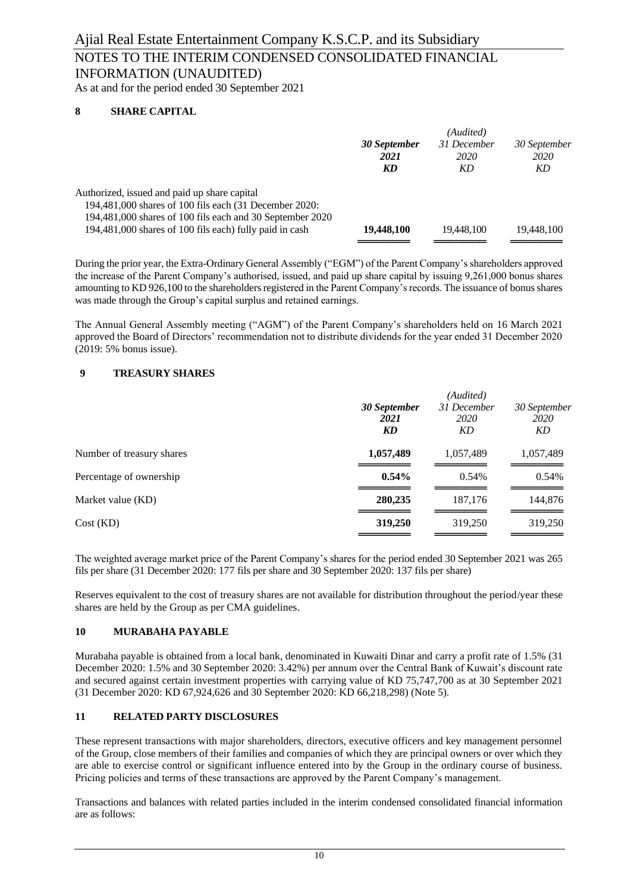### NOTES TO THE INTERIM CONDENSED CONSOLIDATED FINANCIAL INFORMATION (UNAUDITED)

As at and for the period ended 30 September 2021

### **8 SHARE CAPITAL**

|                                                                                                                                                                     |                            | (Audited)                 |                            |
|---------------------------------------------------------------------------------------------------------------------------------------------------------------------|----------------------------|---------------------------|----------------------------|
|                                                                                                                                                                     | 30 September<br>2021<br>KD | 31 December<br>2020<br>KD | 30 September<br>2020<br>KD |
| Authorized, issued and paid up share capital<br>194,481,000 shares of 100 fils each (31 December 2020:<br>194,481,000 shares of 100 fils each and 30 September 2020 |                            |                           |                            |
| 194,481,000 shares of 100 fils each) fully paid in cash                                                                                                             | 19,448,100                 | 19.448.100                | 19.448.100                 |
|                                                                                                                                                                     |                            |                           |                            |

During the prior year, the Extra-Ordinary General Assembly ("EGM") of the Parent Company's shareholders approved the increase of the Parent Company's authorised, issued, and paid up share capital by issuing 9,261,000 bonus shares amounting to KD 926,100 to the shareholders registered in the Parent Company's records. The issuance of bonus shares was made through the Group's capital surplus and retained earnings.

The Annual General Assembly meeting ("AGM") of the Parent Company's shareholders held on 16 March 2021 approved the Board of Directors' recommendation not to distribute dividends for the year ended 31 December 2020 (2019: 5% bonus issue).

### **9 TREASURY SHARES**

|                           | 30 September<br>2021<br>KD | (Audited)<br>31 December<br><i>2020</i><br>KD | 30 September<br>2020<br>KD |
|---------------------------|----------------------------|-----------------------------------------------|----------------------------|
| Number of treasury shares | 1,057,489                  | 1,057,489                                     | 1,057,489                  |
| Percentage of ownership   | $0.54\%$                   | 0.54%                                         | 0.54%                      |
| Market value (KD)         | 280,235                    | 187,176                                       | 144,876                    |
| Cost(KD)                  | 319,250                    | 319,250                                       | 319,250                    |

The weighted average market price of the Parent Company's shares for the period ended 30 September 2021 was 265 fils per share (31 December 2020: 177 fils per share and 30 September 2020: 137 fils per share)

Reserves equivalent to the cost of treasury shares are not available for distribution throughout the period/year these shares are held by the Group as per CMA guidelines.

### **10 MURABAHA PAYABLE**

Murabaha payable is obtained from a local bank, denominated in Kuwaiti Dinar and carry a profit rate of 1.5% (31 December 2020: 1.5% and 30 September 2020: 3.42%) per annum over the Central Bank of Kuwait's discount rate and secured against certain investment properties with carrying value of KD 75,747,700 as at 30 September 2021 (31 December 2020: KD 67,924,626 and 30 September 2020: KD 66,218,298) (Note 5).

### **11 RELATED PARTY DISCLOSURES**

These represent transactions with major shareholders, directors, executive officers and key management personnel of the Group, close members of their families and companies of which they are principal owners or over which they are able to exercise control or significant influence entered into by the Group in the ordinary course of business. Pricing policies and terms of these transactions are approved by the Parent Company's management.

Transactions and balances with related parties included in the interim condensed consolidated financial information are as follows: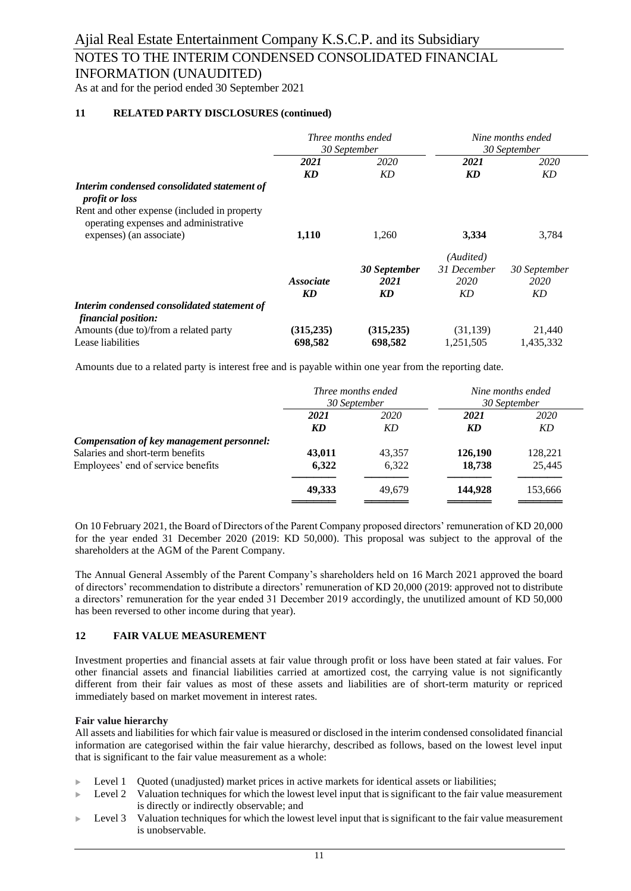### NOTES TO THE INTERIM CONDENSED CONSOLIDATED FINANCIAL INFORMATION (UNAUDITED)

As at and for the period ended 30 September 2021

### **11 RELATED PARTY DISCLOSURES (continued)**

|                                                                                       | Three months ended<br>30 September |              | Nine months ended<br>30 September |              |
|---------------------------------------------------------------------------------------|------------------------------------|--------------|-----------------------------------|--------------|
|                                                                                       | 2021<br>2020                       |              | 2021                              | 2020         |
|                                                                                       | <b>KD</b>                          | KD           | KD                                | KD           |
| Interim condensed consolidated statement of<br><i>profit or loss</i>                  |                                    |              |                                   |              |
| Rent and other expense (included in property<br>operating expenses and administrative |                                    |              |                                   |              |
| expenses) (an associate)                                                              | 1,110                              | 1,260        | 3,334                             | 3,784        |
|                                                                                       |                                    |              | (Audited)                         |              |
|                                                                                       |                                    | 30 September | 31 December                       | 30 September |
|                                                                                       | <i>Associate</i>                   | 2021         | 2020                              | 2020         |
|                                                                                       | KD                                 | KD           | KD                                | KD           |
| Interim condensed consolidated statement of<br>financial position:                    |                                    |              |                                   |              |
| Amounts (due to)/from a related party                                                 | (315, 235)                         | (315, 235)   | (31, 139)                         | 21,440       |
| Lease liabilities                                                                     | 698,582                            | 698,582      | 1.251.505                         | 1,435,332    |

Amounts due to a related party is interest free and is payable within one year from the reporting date.

|                                           | <i>Three months ended</i><br>30 September |             | Nine months ended<br>30 September |             |
|-------------------------------------------|-------------------------------------------|-------------|-----------------------------------|-------------|
|                                           |                                           |             |                                   |             |
|                                           | 2021                                      | <i>2020</i> | 2021                              | <i>2020</i> |
|                                           | KD                                        | KD          | KD                                | KD          |
| Compensation of key management personnel: |                                           |             |                                   |             |
| Salaries and short-term benefits          | 43,011                                    | 43.357      | 126,190                           | 128,221     |
| Employees' end of service benefits        | 6,322                                     | 6,322       | 18,738                            | 25.445      |
|                                           | 49,333                                    | 49.679      | 144,928                           | 153,666     |
|                                           |                                           |             |                                   |             |

On 10 February 2021, the Board of Directors of the Parent Company proposed directors' remuneration of KD 20,000 for the year ended 31 December 2020 (2019: KD 50,000). This proposal was subject to the approval of the shareholders at the AGM of the Parent Company.

The Annual General Assembly of the Parent Company's shareholders held on 16 March 2021 approved the board of directors' recommendation to distribute a directors' remuneration of KD 20,000 (2019: approved not to distribute a directors' remuneration for the year ended 31 December 2019 accordingly, the unutilized amount of KD 50,000 has been reversed to other income during that year).

### **12 FAIR VALUE MEASUREMENT**

Investment properties and financial assets at fair value through profit or loss have been stated at fair values. For other financial assets and financial liabilities carried at amortized cost, the carrying value is not significantly different from their fair values as most of these assets and liabilities are of short-term maturity or repriced immediately based on market movement in interest rates.

### **Fair value hierarchy**

All assets and liabilities for which fair value is measured or disclosed in the interim condensed consolidated financial information are categorised within the fair value hierarchy, described as follows, based on the lowest level input that is significant to the fair value measurement as a whole:

- Level 1 Quoted (unadjusted) market prices in active markets for identical assets or liabilities;
- Level 2 Valuation techniques for which the lowest level input that is significant to the fair value measurement is directly or indirectly observable; and
- Level 3 Valuation techniques for which the lowest level input that is significant to the fair value measurement is unobservable.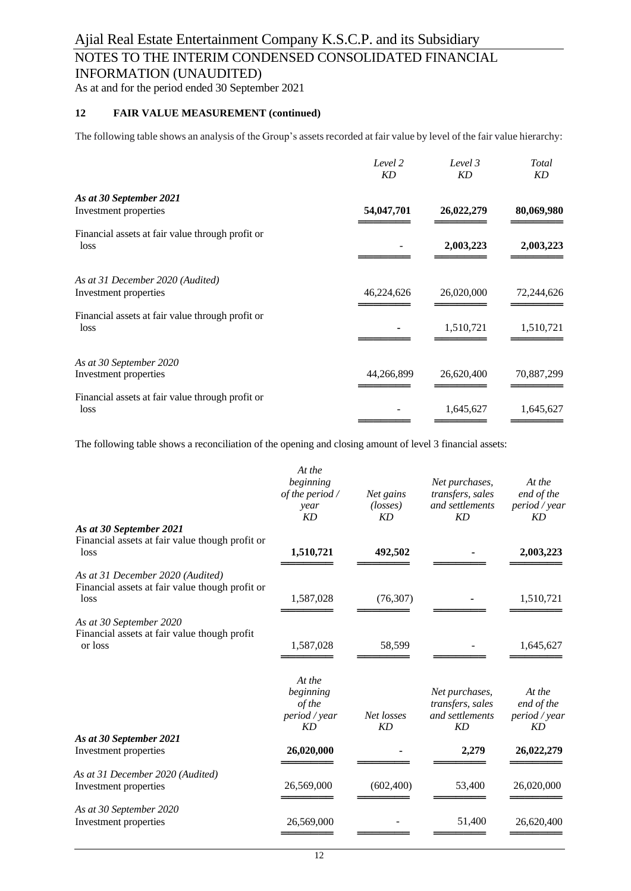### NOTES TO THE INTERIM CONDENSED CONSOLIDATED FINANCIAL INFORMATION (UNAUDITED)

As at and for the period ended 30 September 2021

### **12 FAIR VALUE MEASUREMENT (continued)**

The following table shows an analysis of the Group's assets recorded at fair value by level of the fair value hierarchy:

|                                                          | Level 2<br>KD | Level 3<br>KD | Total<br>KD |
|----------------------------------------------------------|---------------|---------------|-------------|
| As at 30 September 2021                                  |               |               |             |
| Investment properties                                    | 54,047,701    | 26,022,279    | 80,069,980  |
| Financial assets at fair value through profit or<br>loss |               | 2,003,223     | 2,003,223   |
| As at 31 December 2020 (Audited)                         |               |               |             |
| Investment properties                                    | 46,224,626    | 26,020,000    | 72,244,626  |
| Financial assets at fair value through profit or<br>loss |               | 1,510,721     | 1,510,721   |
| As at 30 September 2020                                  |               |               |             |
| Investment properties                                    | 44,266,899    | 26,620,400    | 70,887,299  |
| Financial assets at fair value through profit or<br>loss |               | 1,645,627     | 1,645,627   |
|                                                          |               |               |             |

The following table shows a reconciliation of the opening and closing amount of level 3 financial assets:

|                                                                                             | At the<br>beginning<br>of the period /<br>year<br>KD | Net gains<br>$(\text{losses})$<br>KD | Net purchases,<br>transfers, sales<br>and settlements<br>KD | At the<br>end of the<br>period / year<br>KD |
|---------------------------------------------------------------------------------------------|------------------------------------------------------|--------------------------------------|-------------------------------------------------------------|---------------------------------------------|
| As at 30 September 2021<br>Financial assets at fair value though profit or<br>loss          | 1,510,721                                            | 492,502                              |                                                             | 2,003,223                                   |
| As at 31 December 2020 (Audited)<br>Financial assets at fair value though profit or<br>loss | 1,587,028                                            | (76, 307)                            |                                                             | 1,510,721                                   |
| As at 30 September 2020<br>Financial assets at fair value though profit<br>or loss          | 1,587,028                                            | 58,599                               |                                                             | 1,645,627                                   |
|                                                                                             | At the<br>beginning<br>of the<br>period / year<br>KD | Net losses<br>KD                     | Net purchases,<br>transfers, sales<br>and settlements<br>KD | At the<br>end of the<br>period / year<br>KD |
| As at 30 September 2021<br>Investment properties                                            | 26,020,000                                           |                                      | 2,279                                                       | 26,022,279                                  |
| As at 31 December 2020 (Audited)<br>Investment properties                                   | 26,569,000                                           | (602, 400)                           | 53,400                                                      | 26,020,000                                  |
| As at 30 September 2020<br>Investment properties                                            | 26,569,000                                           |                                      | 51,400                                                      | 26,620,400                                  |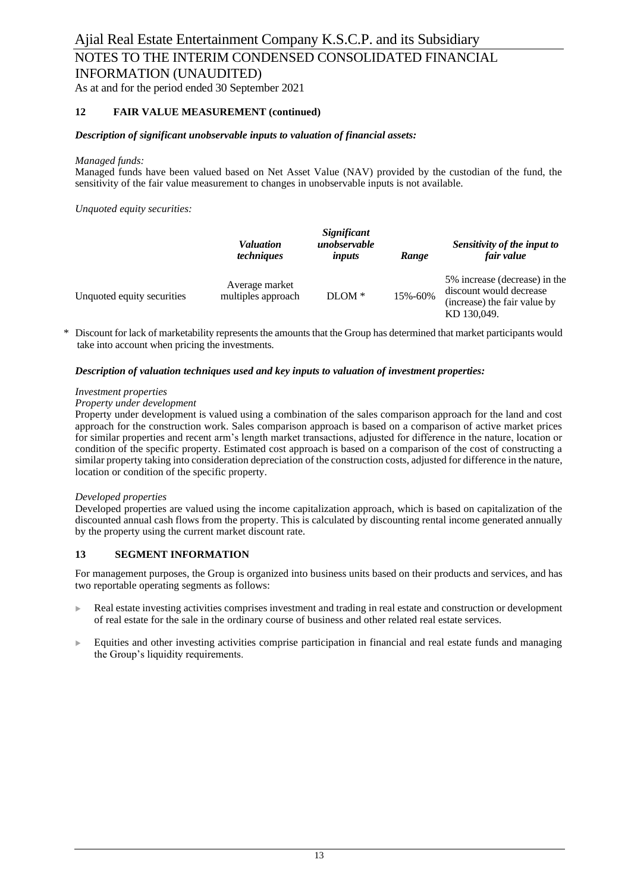### NOTES TO THE INTERIM CONDENSED CONSOLIDATED FINANCIAL INFORMATION (UNAUDITED)

As at and for the period ended 30 September 2021

### **12 FAIR VALUE MEASUREMENT (continued)**

### *Description of significant unobservable inputs to valuation of financial assets:*

### *Managed funds:*

Managed funds have been valued based on Net Asset Value (NAV) provided by the custodian of the fund, the sensitivity of the fair value measurement to changes in unobservable inputs is not available.

*Unquoted equity securities:*

|                            | <i>Valuation</i><br><i>techniques</i> | Significant<br>unobservable<br>inputs | Range   | Sensitivity of the input to<br>fair value                                                               |  |
|----------------------------|---------------------------------------|---------------------------------------|---------|---------------------------------------------------------------------------------------------------------|--|
| Unquoted equity securities | Average market<br>multiples approach  | $DLOM*$                               | 15%-60% | 5% increase (decrease) in the<br>discount would decrease<br>(increase) the fair value by<br>KD 130,049. |  |

Discount for lack of marketability represents the amounts that the Group has determined that market participants would take into account when pricing the investments.

### *Description of valuation techniques used and key inputs to valuation of investment properties:*

#### *Investment properties*

#### *Property under development*

Property under development is valued using a combination of the sales comparison approach for the land and cost approach for the construction work. Sales comparison approach is based on a comparison of active market prices for similar properties and recent arm's length market transactions, adjusted for difference in the nature, location or condition of the specific property. Estimated cost approach is based on a comparison of the cost of constructing a similar property taking into consideration depreciation of the construction costs, adjusted for difference in the nature, location or condition of the specific property.

#### *Developed properties*

Developed properties are valued using the income capitalization approach, which is based on capitalization of the discounted annual cash flows from the property. This is calculated by discounting rental income generated annually by the property using the current market discount rate.

### **13 SEGMENT INFORMATION**

For management purposes, the Group is organized into business units based on their products and services, and has two reportable operating segments as follows:

- Real estate investing activities comprises investment and trading in real estate and construction or development of real estate for the sale in the ordinary course of business and other related real estate services.
- Equities and other investing activities comprise participation in financial and real estate funds and managing the Group's liquidity requirements.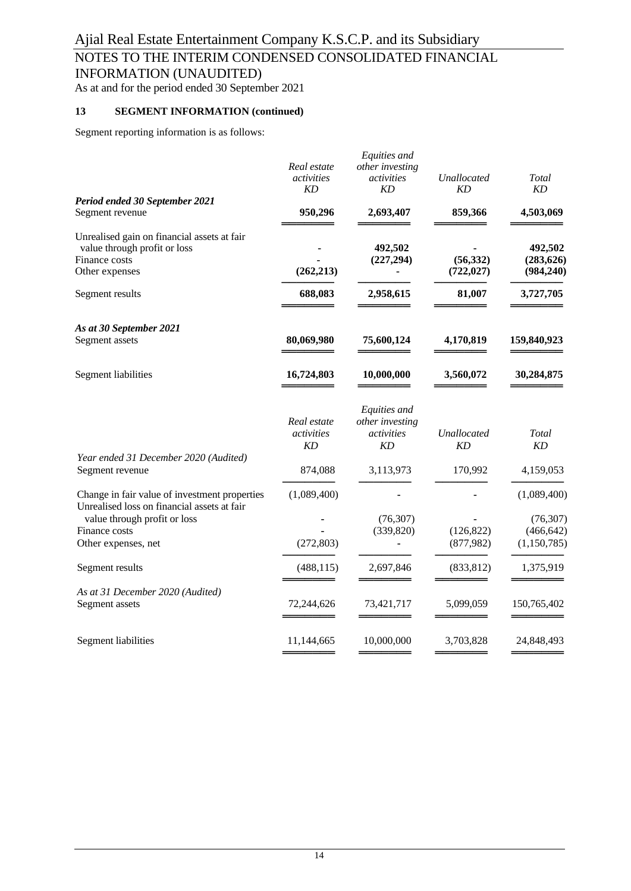# NOTES TO THE INTERIM CONDENSED CONSOLIDATED FINANCIAL

INFORMATION (UNAUDITED)

As at and for the period ended 30 September 2021

### **13 SEGMENT INFORMATION (continued)**

Segment reporting information is as follows:

|                                                                                                                | Real estate<br>activities<br>KD        | Equities and<br>other investing<br>activities<br>KD | Unallocated<br>KD       | Total<br>KD                              |
|----------------------------------------------------------------------------------------------------------------|----------------------------------------|-----------------------------------------------------|-------------------------|------------------------------------------|
| Period ended 30 September 2021<br>Segment revenue                                                              | 950,296                                | 2,693,407                                           | 859,366                 | 4,503,069                                |
| Unrealised gain on financial assets at fair<br>value through profit or loss<br>Finance costs<br>Other expenses | (262, 213)                             | 492,502<br>(227, 294)                               | (56, 332)<br>(722, 027) | 492,502<br>(283, 626)<br>(984, 240)      |
| Segment results                                                                                                | 688,083                                | 2,958,615                                           | 81,007                  | 3,727,705                                |
| As at 30 September 2021<br>Segment assets                                                                      | 80,069,980                             | 75,600,124                                          | 4,170,819               | 159,840,923                              |
| Segment liabilities                                                                                            | 16,724,803                             | 10,000,000                                          | 3,560,072               | 30,284,875                               |
|                                                                                                                | Real estate<br>activities<br><b>KD</b> | Equities and<br>other investing<br>activities<br>KD | Unallocated<br>KD       | Total<br>KD                              |
| Year ended 31 December 2020 (Audited)<br>Segment revenue                                                       | 874,088                                | 3,113,973                                           | 170,992                 | 4,159,053                                |
| Change in fair value of investment properties<br>Unrealised loss on financial assets at fair                   | (1,089,400)                            |                                                     |                         | (1,089,400)                              |
| value through profit or loss<br>Finance costs<br>Other expenses, net                                           | (272, 803)                             | (76, 307)<br>(339, 820)                             | (126, 822)<br>(877,982) | (76, 307)<br>(466, 642)<br>(1, 150, 785) |
| Segment results                                                                                                | (488, 115)                             | 2,697,846                                           | (833, 812)              | 1,375,919                                |
| As at 31 December 2020 (Audited)<br>Segment assets                                                             | 72,244,626                             | 73,421,717                                          | 5,099,059               | 150,765,402                              |
| Segment liabilities                                                                                            | 11,144,665                             | 10,000,000                                          | 3,703,828               | 24,848,493                               |
|                                                                                                                |                                        |                                                     |                         |                                          |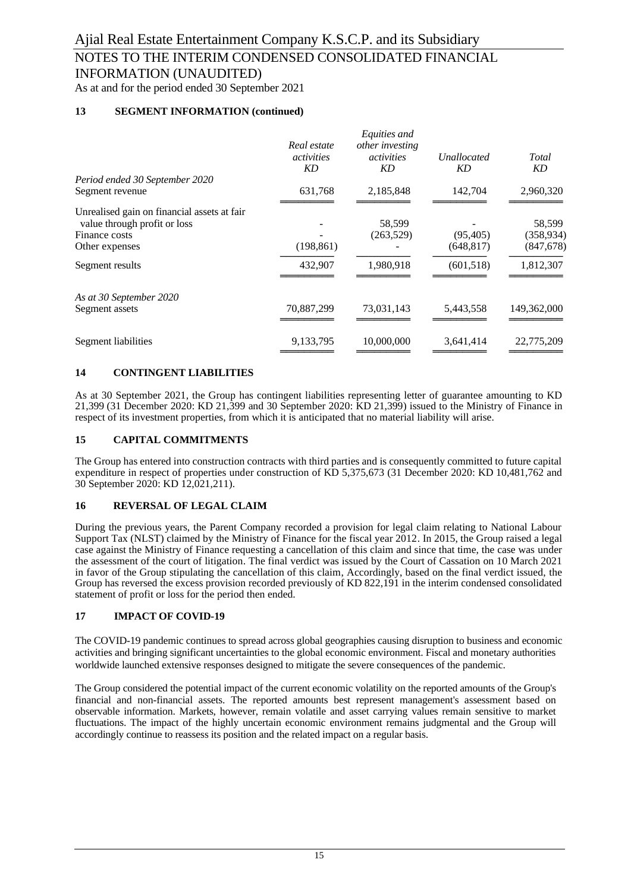INFORMATION (UNAUDITED)

As at and for the period ended 30 September 2021

### **13 SEGMENT INFORMATION (continued)**

| Real estate<br>activities<br>KD | Equities and<br>other investing<br><i>activities</i><br>KD | <b>Unallocated</b><br>KD | Total<br>KD |
|---------------------------------|------------------------------------------------------------|--------------------------|-------------|
|                                 |                                                            |                          |             |
| 631,768                         | 2,185,848                                                  | 142,704                  | 2,960,320   |
|                                 |                                                            |                          |             |
|                                 |                                                            |                          | 58,599      |
|                                 |                                                            |                          | (358, 934)  |
|                                 |                                                            | (648, 817)               | (847, 678)  |
| 432,907                         | 1,980,918                                                  | (601, 518)               | 1,812,307   |
|                                 |                                                            |                          |             |
| 70,887,299                      | 73,031,143                                                 | 5,443,558                | 149,362,000 |
| 9,133,795                       | 10,000,000                                                 | 3,641,414                | 22,775,209  |
|                                 | (198, 861)                                                 | 58,599<br>(263,529)      | (95, 405)   |

#### **14 CONTINGENT LIABILITIES**

As at 30 September 2021, the Group has contingent liabilities representing letter of guarantee amounting to KD 21,399 (31 December 2020: KD 21,399 and 30 September 2020: KD 21,399) issued to the Ministry of Finance in respect of its investment properties, from which it is anticipated that no material liability will arise.

#### **15 CAPITAL COMMITMENTS**

The Group has entered into construction contracts with third parties and is consequently committed to future capital expenditure in respect of properties under construction of KD 5,375,673 (31 December 2020: KD 10,481,762 and 30 September 2020: KD 12,021,211).

#### **16 REVERSAL OF LEGAL CLAIM**

During the previous years, the Parent Company recorded a provision for legal claim relating to National Labour Support Tax (NLST) claimed by the Ministry of Finance for the fiscal year 2012. In 2015, the Group raised a legal case against the Ministry of Finance requesting a cancellation of this claim and since that time, the case was under the assessment of the court of litigation. The final verdict was issued by the Court of Cassation on 10 March 2021 in favor of the Group stipulating the cancellation of this claim, Accordingly, based on the final verdict issued, the Group has reversed the excess provision recorded previously of KD 822,191 in the interim condensed consolidated statement of profit or loss for the period then ended.

### **17 IMPACT OF COVID-19**

The COVID-19 pandemic continues to spread across global geographies causing disruption to business and economic activities and bringing significant uncertainties to the global economic environment. Fiscal and monetary authorities worldwide launched extensive responses designed to mitigate the severe consequences of the pandemic.

The Group considered the potential impact of the current economic volatility on the reported amounts of the Group's financial and non-financial assets. The reported amounts best represent management's assessment based on observable information. Markets, however, remain volatile and asset carrying values remain sensitive to market fluctuations. The impact of the highly uncertain economic environment remains judgmental and the Group will accordingly continue to reassess its position and the related impact on a regular basis.